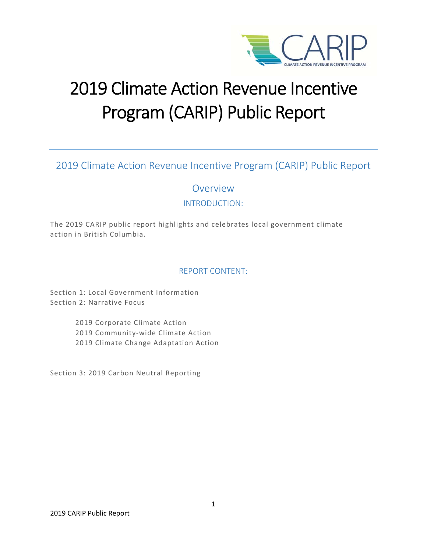

# 2019 Climate Action Revenue Incentive Program (CARIP) Public Report

2019 Climate Action Revenue Incentive Program (CARIP) Public Report

Overview

INTRODUCTION:

The 2019 CARIP public report highlights and celebrates local government climate action in British Columbia.

# REPORT CONTENT:

Section 1: Local Government Information Section 2: Narrative Focus

> 2019 Corporate Climate Action 2019 Community‐wide Climate Action 2019 Climate Change Adaptation Action

Section 3: 2019 Carbon Neutral Reporting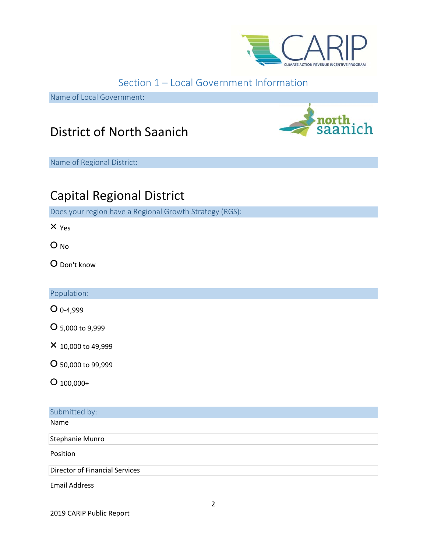

# Section 1 – Local Government Information

Name of Local Government:

# District of North Saanich

Name of Regional District:

# Capital Regional District

Does your region have a Regional Growth Strategy (RGS):

× Yes

O<sub>No</sub>

○ Don't know

Population:

○ 0‐4,999

○ 5,000 to 9,999

× 10,000 to 49,999

○ 50,000 to 99,999

 $O$  100,000+

# Submitted by:

Name

Stephanie Munro

Position

Director of Financial Services

Email Address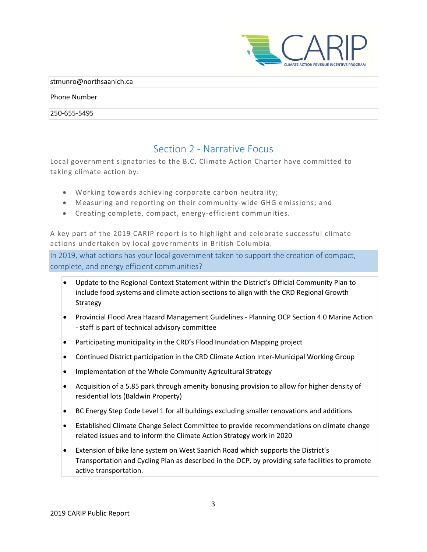

#### stmunro@northsaanich.ca

#### Phone Number

250‐655‐5495

# Section 2 ‐ Narrative Focus

Local government signatories to the B.C. Climate Action Charter have committed to taking climate action by:

- Working towards achieving corporate carbon neutrality;
- Measuring and reporting on their community-wide GHG emissions; and
- Creating complete, compact, energy‐efficient communities.

A key part of the 2019 CARIP report is to highlight and celebrate successful climate actions undertaken by local governments in British Columbia.

In 2019, what actions has your local government taken to support the creation of compact, complete, and energy efficient communities?

- Update to the Regional Context Statement within the District's Official Community Plan to include food systems and climate action sections to align with the CRD Regional Growth Strategy
- Provincial Flood Area Hazard Management Guidelines Planning OCP Section 4.0 Marine Action ‐ staff is part of technical advisory committee
- Participating municipality in the CRD's Flood Inundation Mapping project
- Continued District participation in the CRD Climate Action Inter-Municipal Working Group
- Implementation of the Whole Community Agricultural Strategy
- Acquisition of a 5.85 park through amenity bonusing provision to allow for higher density of residential lots (Baldwin Property)
- BC Energy Step Code Level 1 for all buildings excluding smaller renovations and additions
- Established Climate Change Select Committee to provide recommendations on climate change related issues and to inform the Climate Action Strategy work in 2020
- Extension of bike lane system on West Saanich Road which supports the District's Transportation and Cycling Plan as described in the OCP, by providing safe facilities to promote active transportation.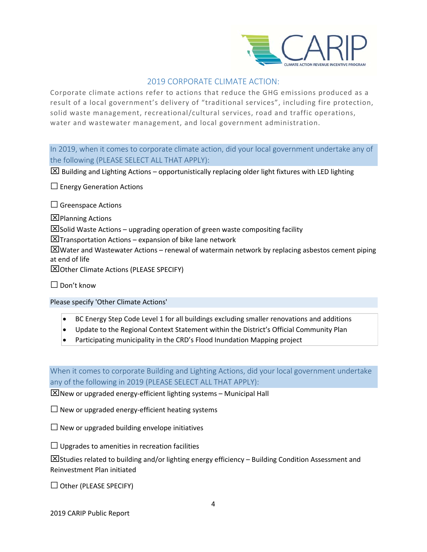

# 2019 CORPORATE CLIMATE ACTION:

Corporate climate actions refer to actions that reduce the GHG emissions produced as a result of a local government's delivery of "traditional services", including fire protection, solid waste management, recreational/cultural services, road and traffic operations, water and wastewater management, and local government administration.

In 2019, when it comes to corporate climate action, did your local government undertake any of the following (PLEASE SELECT ALL THAT APPLY):

 $\boxtimes$  Building and Lighting Actions – opportunistically replacing older light fixtures with LED lighting

 $\square$  Energy Generation Actions

 $\square$  Greenspace Actions

 $\Sigma$ Planning Actions

 $\boxtimes$  Solid Waste Actions – upgrading operation of green waste compositing facility

 $\boxtimes$ Transportation Actions – expansion of bike lane network

 $\boxtimes$ Water and Wastewater Actions – renewal of watermain network by replacing asbestos cement piping at end of life

Other Climate Actions (PLEASE SPECIFY)

□ Don't know

Please specify 'Other Climate Actions'

- BC Energy Step Code Level 1 for all buildings excluding smaller renovations and additions
- Update to the Regional Context Statement within the District's Official Community Plan
- Participating municipality in the CRD's Flood Inundation Mapping project

When it comes to corporate Building and Lighting Actions, did your local government undertake any of the following in 2019 (PLEASE SELECT ALL THAT APPLY):

 $\boxtimes$  New or upgraded energy-efficient lighting systems – Municipal Hall

 $\Box$  New or upgraded energy-efficient heating systems

 $\Box$  New or upgraded building envelope initiatives

 $\Box$  Upgrades to amenities in recreation facilities

 $\boxtimes$ Studies related to building and/or lighting energy efficiency – Building Condition Assessment and Reinvestment Plan initiated

 $\Box$  Other (PLEASE SPECIFY)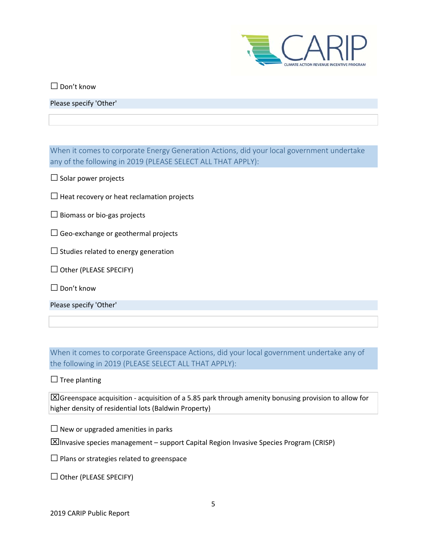

 $\square$  Don't know

Please specify 'Other'

When it comes to corporate Energy Generation Actions, did your local government undertake any of the following in 2019 (PLEASE SELECT ALL THAT APPLY):

 $\Box$  Solar power projects

 $\square$  Heat recovery or heat reclamation projects

□ Biomass or bio‐gas projects

 $\Box$  Geo-exchange or geothermal projects

 $\Box$  Studies related to energy generation

 $\Box$  Other (PLEASE SPECIFY)

□ Don't know

Please specify 'Other'

When it comes to corporate Greenspace Actions, did your local government undertake any of the following in 2019 (PLEASE SELECT ALL THAT APPLY):

 $\Box$  Tree planting

Greenspace acquisition ‐ acquisition of a 5.85 park through amenity bonusing provision to allow for higher density of residential lots (Baldwin Property)

 $\Box$  New or upgraded amenities in parks

 $\boxtimes$ Invasive species management – support Capital Region Invasive Species Program (CRISP)

 $\square$  Plans or strategies related to greenspace

 $\Box$  Other (PLEASE SPECIFY)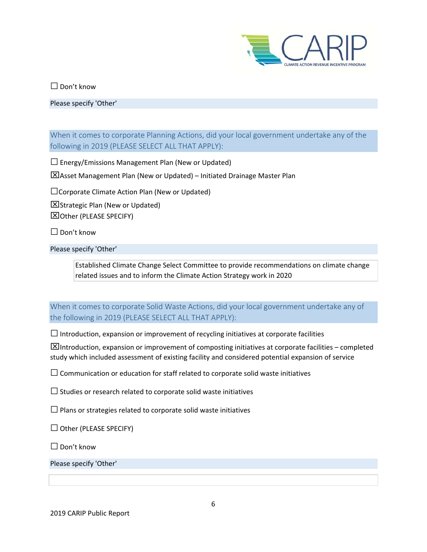

□ Don't know

Please specify 'Other'

When it comes to corporate Planning Actions, did your local government undertake any of the following in 2019 (PLEASE SELECT ALL THAT APPLY):

 $\square$  Energy/Emissions Management Plan (New or Updated)

Asset Management Plan (New or Updated) – Initiated Drainage Master Plan

□Corporate Climate Action Plan (New or Updated)

 $\Sigma$ Strategic Plan (New or Updated)

Other (PLEASE SPECIFY)

 $\Box$  Don't know

Please specify 'Other'

Established Climate Change Select Committee to provide recommendations on climate change related issues and to inform the Climate Action Strategy work in 2020

When it comes to corporate Solid Waste Actions, did your local government undertake any of the following in 2019 (PLEASE SELECT ALL THAT APPLY):

 $\Box$  Introduction, expansion or improvement of recycling initiatives at corporate facilities

 $\boxtimes$ Introduction, expansion or improvement of composting initiatives at corporate facilities – completed study which included assessment of existing facility and considered potential expansion of service

 $\square$  Communication or education for staff related to corporate solid waste initiatives

 $\square$  Studies or research related to corporate solid waste initiatives

 $\square$  Plans or strategies related to corporate solid waste initiatives

 $\Box$  Other (PLEASE SPECIFY)

 $\Box$  Don't know

Please specify 'Other'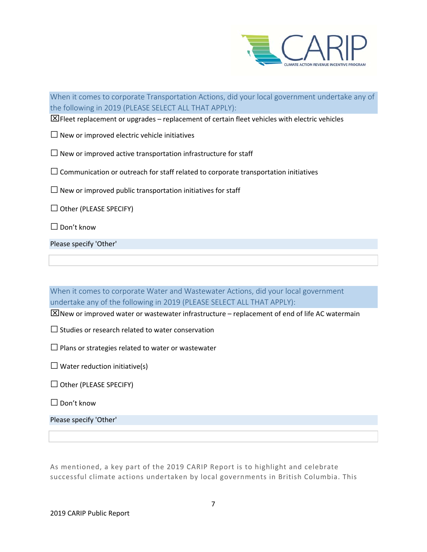

When it comes to corporate Transportation Actions, did your local government undertake any of the following in 2019 (PLEASE SELECT ALL THAT APPLY):

 $\boxtimes$  Fleet replacement or upgrades – replacement of certain fleet vehicles with electric vehicles

 $\square$  New or improved electric vehicle initiatives

 $\square$  New or improved active transportation infrastructure for staff

 $\square$  Communication or outreach for staff related to corporate transportation initiatives

 $\square$  New or improved public transportation initiatives for staff

 $\Box$  Other (PLEASE SPECIFY)

□ Don't know

Please specify 'Other'

When it comes to corporate Water and Wastewater Actions, did your local government undertake any of the following in 2019 (PLEASE SELECT ALL THAT APPLY):

 $\boxtimes$ New or improved water or wastewater infrastructure – replacement of end of life AC watermain

 $\square$  Studies or research related to water conservation

 $\square$  Plans or strategies related to water or wastewater

 $\Box$  Water reduction initiative(s)

 $\Box$  Other (PLEASE SPECIFY)

□ Don't know

Please specify 'Other'

As mentioned, a key part of the 2019 CARIP Report is to highlight and celebrate successful climate actions undertaken by local governments in British Columbia. This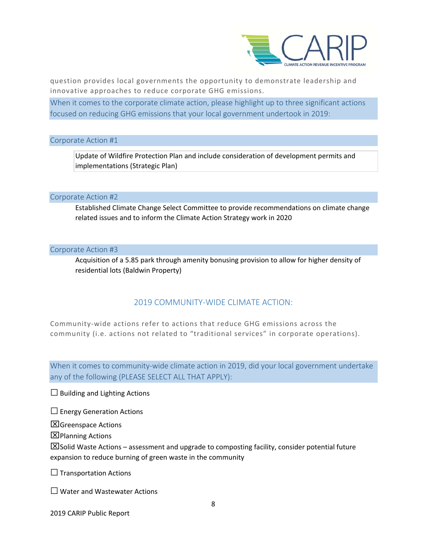

question provides local governments the opportunity to demonstrate leadership and innovative approaches to reduce corporate GHG emissions.

When it comes to the corporate climate action, please highlight up to three significant actions focused on reducing GHG emissions that your local government undertook in 2019:

#### Corporate Action #1

Update of Wildfire Protection Plan and include consideration of development permits and implementations (Strategic Plan)

#### Corporate Action #2

Established Climate Change Select Committee to provide recommendations on climate change related issues and to inform the Climate Action Strategy work in 2020

#### Corporate Action #3

Acquisition of a 5.85 park through amenity bonusing provision to allow for higher density of residential lots (Baldwin Property)

# 2019 COMMUNITY‐WIDE CLIMATE ACTION:

Community‐wide actions refer to actions that reduce GHG emissions across the community (i.e. actions not related to "traditional services" in corporate operations).

When it comes to community-wide climate action in 2019, did your local government undertake any of the following (PLEASE SELECT ALL THAT APPLY):

 $\Box$  Building and Lighting Actions

 $\square$  Energy Generation Actions

Greenspace Actions

Planning Actions

 $\boxtimes$  Solid Waste Actions – assessment and upgrade to composting facility, consider potential future expansion to reduce burning of green waste in the community

 $\Box$  Transportation Actions

 $\square$  Water and Wastewater Actions

2019 CARIP Public Report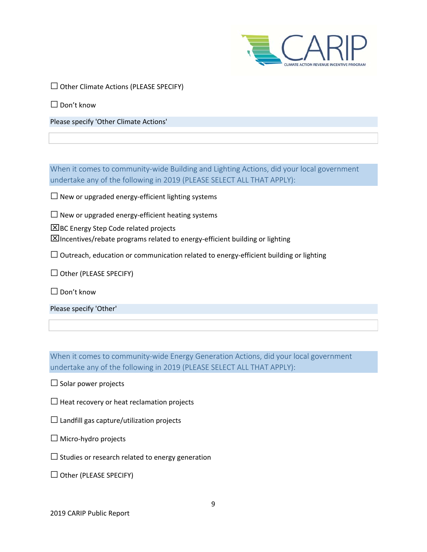

 $\square$  Other Climate Actions (PLEASE SPECIFY)

 $\Box$  Don't know

Please specify 'Other Climate Actions'

When it comes to community-wide Building and Lighting Actions, did your local government undertake any of the following in 2019 (PLEASE SELECT ALL THAT APPLY):

□ New or upgraded energy‐efficient lighting systems

□ New or upgraded energy‐efficient heating systems

 $XBC$  Energy Step Code related projects

Incentives/rebate programs related to energy‐efficient building or lighting

 $\square$  Outreach, education or communication related to energy-efficient building or lighting

 $\Box$  Other (PLEASE SPECIFY)

□ Don't know

Please specify 'Other'

When it comes to community-wide Energy Generation Actions, did your local government undertake any of the following in 2019 (PLEASE SELECT ALL THAT APPLY):

 $\Box$  Solar power projects

 $\square$  Heat recovery or heat reclamation projects

 $\square$  Landfill gas capture/utilization projects

□ Micro‐hydro projects

 $\square$  Studies or research related to energy generation

 $\Box$  Other (PLEASE SPECIFY)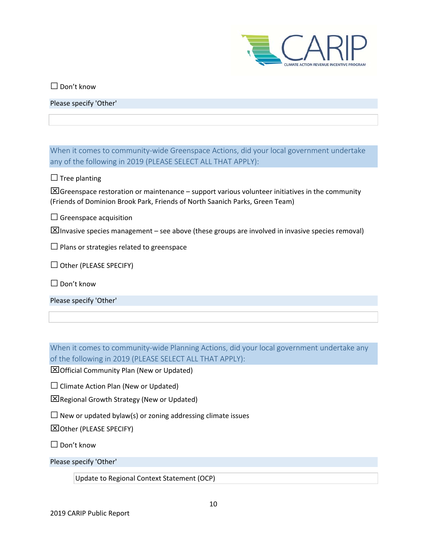

□ Don't know

Please specify 'Other'

When it comes to community-wide Greenspace Actions, did your local government undertake any of the following in 2019 (PLEASE SELECT ALL THAT APPLY):

 $\Box$  Tree planting

 $\boxtimes$  Greenspace restoration or maintenance – support various volunteer initiatives in the community (Friends of Dominion Brook Park, Friends of North Saanich Parks, Green Team)

 $\square$  Greenspace acquisition

 $\boxtimes$ Invasive species management – see above (these groups are involved in invasive species removal)

 $\square$  Plans or strategies related to greenspace

 $\Box$  Other (PLEASE SPECIFY)

 $\Box$  Don't know

Please specify 'Other'

When it comes to community-wide Planning Actions, did your local government undertake any of the following in 2019 (PLEASE SELECT ALL THAT APPLY):

Official Community Plan (New or Updated)

 $\Box$  Climate Action Plan (New or Updated)

Regional Growth Strategy (New or Updated)

 $\square$  New or updated bylaw(s) or zoning addressing climate issues

Other (PLEASE SPECIFY)

□ Don't know

Please specify 'Other'

Update to Regional Context Statement (OCP)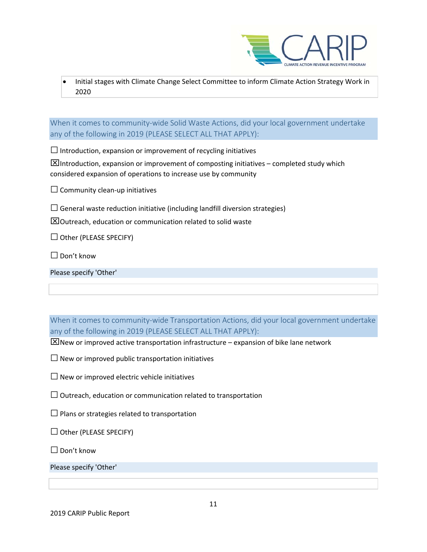

<u> 1980 - Jan Sterling von Berling von Berling von Berling von Berling von Berling von Berling von Berling von B</u> Initial stages with Climate Change Select Committee to inform Climate Action Strategy Work in 2020

When it comes to community-wide Solid Waste Actions, did your local government undertake any of the following in 2019 (PLEASE SELECT ALL THAT APPLY):

 $\square$  Introduction, expansion or improvement of recycling initiatives

 $\boxtimes$ Introduction, expansion or improvement of composting initiatives – completed study which considered expansion of operations to increase use by community

 $\square$  Community clean-up initiatives

 $\square$  General waste reduction initiative (including landfill diversion strategies)

 $\Sigma$ Outreach, education or communication related to solid waste

 $\Box$  Other (PLEASE SPECIFY)

 $\Box$  Don't know

|  |  | Please specify 'Other' |  |
|--|--|------------------------|--|
|--|--|------------------------|--|

When it comes to community-wide Transportation Actions, did your local government undertake any of the following in 2019 (PLEASE SELECT ALL THAT APPLY):

 $\boxtimes$ New or improved active transportation infrastructure – expansion of bike lane network

 $\square$  New or improved public transportation initiatives

 $\square$  New or improved electric vehicle initiatives

 $\square$  Outreach, education or communication related to transportation

 $\square$  Plans or strategies related to transportation

 $\Box$  Other (PLEASE SPECIFY)

□ Don't know

Please specify 'Other'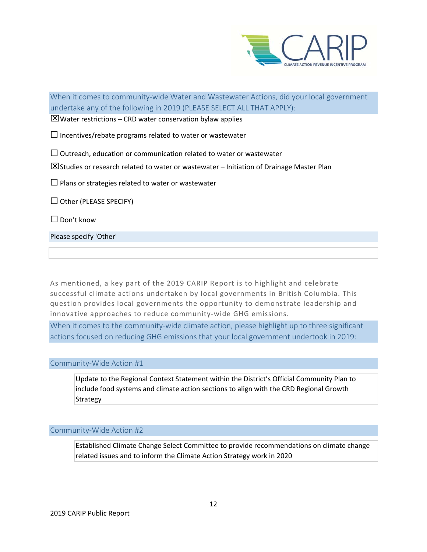

When it comes to community-wide Water and Wastewater Actions, did your local government undertake any of the following in 2019 (PLEASE SELECT ALL THAT APPLY):

 $\boxtimes$  Water restrictions – CRD water conservation bylaw applies

 $\square$  Incentives/rebate programs related to water or wastewater

 $\Box$  Outreach, education or communication related to water or wastewater

 $\boxtimes$  Studies or research related to water or wastewater – Initiation of Drainage Master Plan

 $\square$  Plans or strategies related to water or wastewater

 $\Box$  Other (PLEASE SPECIFY)

 $\Box$  Don't know

Please specify 'Other'

As mentioned, a key part of the 2019 CARIP Report is to highlight and celebrate successful climate actions undertaken by local governments in British Columbia. This question provides local governments the opportunity to demonstrate leadership and innovative approaches to reduce community‐wide GHG emissions.

When it comes to the community-wide climate action, please highlight up to three significant actions focused on reducing GHG emissions that your local government undertook in 2019:

#### Community‐Wide Action #1

Update to the Regional Context Statement within the District's Official Community Plan to include food systems and climate action sections to align with the CRD Regional Growth Strategy

Community‐Wide Action #2

Established Climate Change Select Committee to provide recommendations on climate change related issues and to inform the Climate Action Strategy work in 2020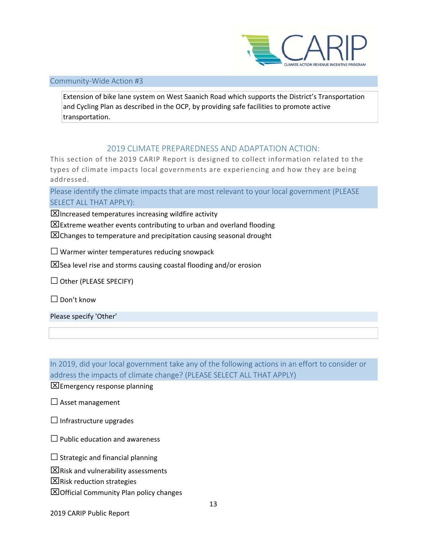

#### <u> 1980 - Johann Barnett, mars et al. 1980 - Anna anno 1980 - Anna anno 1980 - Anna anno 1980 - Anna anno 1980 - </u> Community‐Wide Action #3

Extension of bike lane system on West Saanich Road which supports the District's Transportation and Cycling Plan as described in the OCP, by providing safe facilities to promote active transportation.

# 2019 CLIMATE PREPAREDNESS AND ADAPTATION ACTION:

This section of the 2019 CARIP Report is designed to collect information related to the types of climate impacts local governments are experiencing and how they are being addressed.

Please identify the climate impacts that are most relevant to your local government (PLEASE SELECT ALL THAT APPLY):

 $\boxtimes$ Increased temperatures increasing wildfire activity

 $\boxtimes$  Extreme weather events contributing to urban and overland flooding

 $\boxtimes$  Changes to temperature and precipitation causing seasonal drought

 $\square$  Warmer winter temperatures reducing snowpack

 $\boxtimes$  Sea level rise and storms causing coastal flooding and/or erosion

 $\Box$  Other (PLEASE SPECIFY)

□ Don't know

Please specify 'Other'

In 2019, did your local government take any of the following actions in an effort to consider or address the impacts of climate change? (PLEASE SELECT ALL THAT APPLY)

 $\Sigma$  Emergency response planning

 $\square$  Asset management

 $\Box$  Infrastructure upgrades

 $\Box$  Public education and awareness

 $\Box$  Strategic and financial planning

 $\Sigma$ Risk and vulnerability assessments

 $\Sigma$ Risk reduction strategies

 $\boxtimes$  Official Community Plan policy changes

2019 CARIP Public Report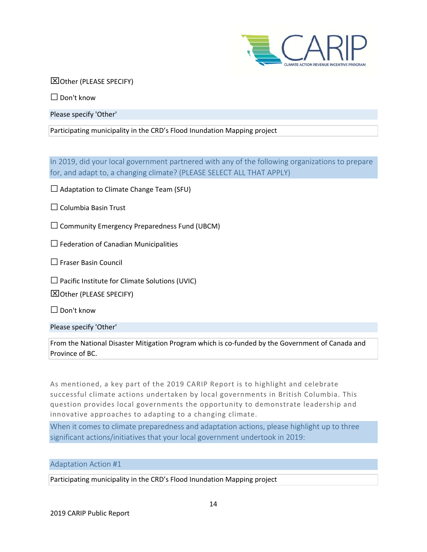

 Other (PLEASE SPECIFY)

□ Don't know

Please specify 'Other'

Participating municipality in the CRD's Flood Inundation Mapping project

In 2019, did your local government partnered with any of the following organizations to prepare for, and adapt to, a changing climate? (PLEASE SELECT ALL THAT APPLY)

 $\square$  Adaptation to Climate Change Team (SFU)

□ Columbia Basin Trust

 $\square$  Community Emergency Preparedness Fund (UBCM)

 $\Box$  Federation of Canadian Municipalities

□ Fraser Basin Council

 $\square$  Pacific Institute for Climate Solutions (UVIC)

Other (PLEASE SPECIFY)

□ Don't know

Please specify 'Other'

From the National Disaster Mitigation Program which is co-funded by the Government of Canada and Province of BC.

As mentioned, a key part of the 2019 CARIP Report is to highlight and celebrate successful climate actions undertaken by local governments in British Columbia. This question provides local governments the opportunity to demonstrate leadership and innovative approaches to adapting to a changing climate.

When it comes to climate preparedness and adaptation actions, please highlight up to three significant actions/initiatives that your local government undertook in 2019:

Adaptation Action #1

Participating municipality in the CRD's Flood Inundation Mapping project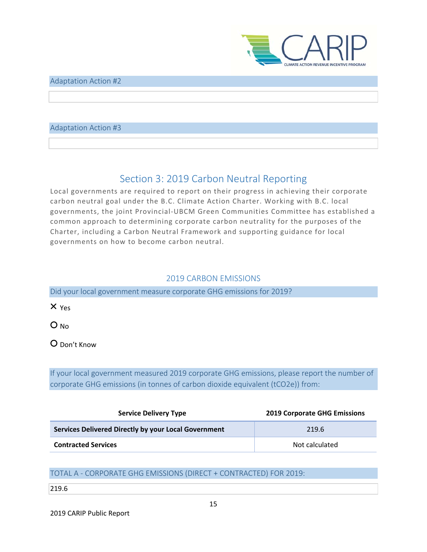

#### <u> 1980 - Johann Barnett, mars et al. 1980 - Anna anno 1980 - Anna anno 1980 - Anna anno 1980 - Anna anno 1980 - </u> Adaptation Action #2

# Adaptation Action #3

# Section 3: 2019 Carbon Neutral Reporting

Local governments are required to report on their progress in achieving their corporate carbon neutral goal under the B.C. Climate Action Charter. Working with B.C. local governments, the joint Provincial‐UBCM Green Communities Committee has established a common approach to determining corporate carbon neutrality for the purposes of the Charter, including a Carbon Neutral Framework and supporting guidance for local governments on how to become carbon neutral.

# 2019 CARBON EMISSIONS

Did your local government measure corporate GHG emissions for 2019?

× Yes

○ No

○ Don't Know

If your local government measured 2019 corporate GHG emissions, please report the number of corporate GHG emissions (in tonnes of carbon dioxide equivalent (tCO2e)) from:

| <b>Service Delivery Type</b>                         | <b>2019 Corporate GHG Emissions</b> |
|------------------------------------------------------|-------------------------------------|
| Services Delivered Directly by your Local Government | 219.6                               |
| <b>Contracted Services</b>                           | Not calculated                      |

# TOTAL A ‐ CORPORATE GHG EMISSIONS (DIRECT + CONTRACTED) FOR 2019:

#### 219.6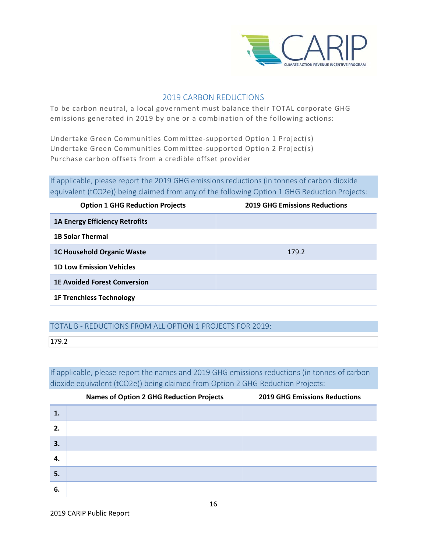

# 2019 CARBON REDUCTIONS

To be carbon neutral, a local government must balance their TOTAL corporate GHG emissions generated in 2019 by one or a combination of the following actions:

Undertake Green Communities Committee‐supported Option 1 Project(s) Undertake Green Communities Committee‐supported Option 2 Project(s) Purchase carbon offsets from a credible offset provider

If applicable, please report the 2019 GHG emissions reductions (in tonnes of carbon dioxide equivalent (tCO2e)) being claimed from any of the following Option 1 GHG Reduction Projects:

| <b>Option 1 GHG Reduction Projects</b> | <b>2019 GHG Emissions Reductions</b> |
|----------------------------------------|--------------------------------------|
| <b>1A Energy Efficiency Retrofits</b>  |                                      |
| <b>1B Solar Thermal</b>                |                                      |
| <b>1C Household Organic Waste</b>      | 179.2                                |
| <b>1D Low Emission Vehicles</b>        |                                      |
| <b>1E Avoided Forest Conversion</b>    |                                      |
| <b>1F Trenchless Technology</b>        |                                      |

# TOTAL B ‐ REDUCTIONS FROM ALL OPTION 1 PROJECTS FOR 2019:

179.2

If applicable, please report the names and 2019 GHG emissions reductions (in tonnes of carbon dioxide equivalent (tCO2e)) being claimed from Option 2 GHG Reduction Projects:

|    | <b>Names of Option 2 GHG Reduction Projects</b> | <b>2019 GHG Emissions Reductions</b> |
|----|-------------------------------------------------|--------------------------------------|
| 1. |                                                 |                                      |
| 2. |                                                 |                                      |
| 3. |                                                 |                                      |
| 4. |                                                 |                                      |
| 5. |                                                 |                                      |
| 6. |                                                 |                                      |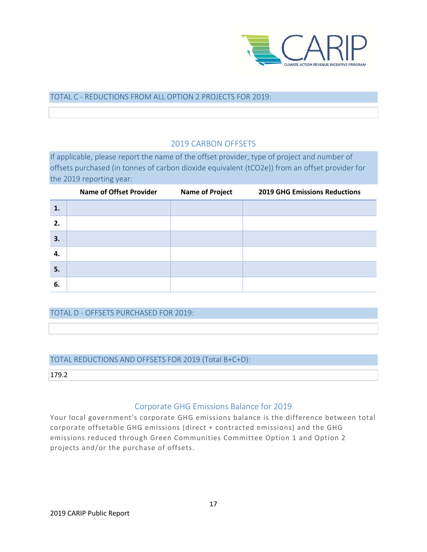

### TOTAL C ‐ REDUCTIONS FROM ALL OPTION 2 PROJECTS FOR 2019:

# 2019 CARBON OFFSETS

If applicable, please report the name of the offset provider, type of project and number of offsets purchased (in tonnes of carbon dioxide equivalent (tCO2e)) from an offset provider for the 2019 reporting year:

|    | <b>Name of Offset Provider</b> | <b>Name of Project</b> | <b>2019 GHG Emissions Reductions</b> |
|----|--------------------------------|------------------------|--------------------------------------|
| 1. |                                |                        |                                      |
| 2. |                                |                        |                                      |
| 3. |                                |                        |                                      |
| 4. |                                |                        |                                      |
| 5. |                                |                        |                                      |
| 6. |                                |                        |                                      |

TOTAL D ‐ OFFSETS PURCHASED FOR 2019:

#### TOTAL REDUCTIONS AND OFFSETS FOR 2019 (Total B+C+D):

179.2

# Corporate GHG Emissions Balance for 2019

Your local government's corporate GHG emissions balance is the difference between total corporate offsetable GHG emissions (direct + contracted emissions) and the GHG emissions reduced through Green Communities Committee Option 1 and Option 2 projects and/or the purchase of offsets.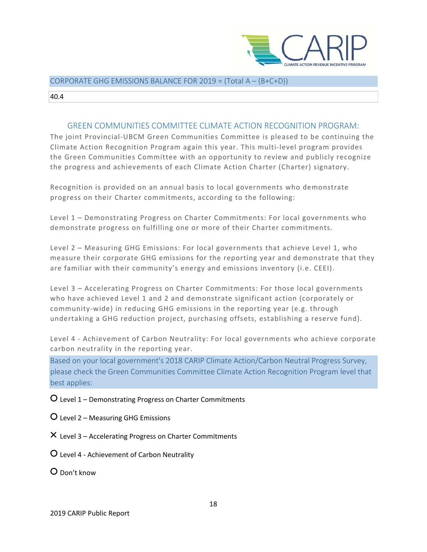

#### <u> 1980 - Johann Barnett, mars et al. 1980 - Anna anno 1980 - Anna anno 1980 - Anna anno 1980 - Anna anno 1980 - </u> CORPORATE GHG EMISSIONS BALANCE FOR 2019 = (Total A – (B+C+D))

40.4

# GREEN COMMUNITIES COMMITTEE CLIMATE ACTION RECOGNITION PROGRAM:

The joint Provincial‐UBCM Green Communities Committee is pleased to be continuing the Climate Action Recognition Program again this year. This multi‐level program provides the Green Communities Committee with an opportunity to review and publicly recognize the progress and achievements of each Climate Action Charter (Charter) signatory.

Recognition is provided on an annual basis to local governments who demonstrate progress on their Charter commitments, according to the following:

Level 1 – Demonstrating Progress on Charter Commitments: For local governments who demonstrate progress on fulfilling one or more of their Charter commitments.

Level 2 – Measuring GHG Emissions: For local governments that achieve Level 1, who measure their corporate GHG emissions for the reporting year and demonstrate that they are familiar with their community's energy and emissions inventory (i.e. CEEI).

Level 3 – Accelerating Progress on Charter Commitments: For those local governments who have achieved Level 1 and 2 and demonstrate significant action (corporately or community‐wide) in reducing GHG emissions in the reporting year (e.g. through undertaking a GHG reduction project, purchasing offsets, establishing a reserve fund).

Level 4 ‐ Achievement of Carbon Neutrality: For local governments who achieve corporate carbon neutrality in the reporting year.

Based on your local government's 2018 CARIP Climate Action/Carbon Neutral Progress Survey, please check the Green Communities Committee Climate Action Recognition Program level that best applies:

○ Level 1 – Demonstrating Progress on Charter Commitments

○ Level 2 – Measuring GHG Emissions

 $\times$  Level 3 – Accelerating Progress on Charter Commitments

○ Level 4 ‐ Achievement of Carbon Neutrality

○ Don't know